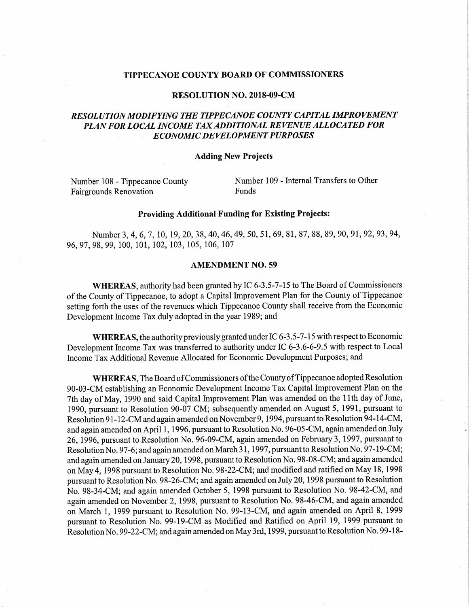#### TIPPECANOE COUNTY BOARD OF COMMISSIONERS

#### RESOLUTION NO. 2018-09-CM

# RESOLUTION MODIFYING THE TIPPECANOE COUNTY CAPITAL IMPROVEMENT PLAN FOR LOCAL INCOME TAXADDITIONAL REVENUE ALLOCATED FOR ECONOMIC DEVELOPMENT PURPOSES

## Adding New Projects

Fairgrounds Renovation Funds

Number <sup>108</sup> - Tippecanoe County Number <sup>109</sup> — Internal Transfers to Other

#### Providing Additional Funding for Existing Projects:

Number 3, 4, 6, 7, 10, 19, 20, 38, 40, 46, 49, 50, 51, 69, 81, 87, 88, 89, 90, 91, 92, 93, 94, 96, 97, 98, 99, 100, 101, 102, 103, 105, 106, 107 8

## AMENDMENT NO. 59

WHEREAS, authority had been granted by IC 6-3.5-7-15 to The Board of Commissioners of the County of Tippecanoe, to adopt <sup>a</sup> Capital Improvement Plan for the County of Tippecanoe setting forth the uses of the revenues which Tippecanoe County shall receive from the Economic Development Income Tax duly adopted in the year 1989; and

WHEREAS, the authority previously granted under IC 6-3.5-7-15 with respect to Economic Development Income Tax was transferred to authority under IC 6-3.6-6-9.5 with respect to Local Income Tax Additional Revenue Allocated for Economic Development Purposes; and

WHEREAS, The Board of Commissioners of the County of Tippecanoe adopted Resolution 90-03-CM establishing an Economic Development Income Tax Capital Improvement Plan on the 7th day of May, <sup>1990</sup> and said Capital Improvement Plan was amended on the 11th day of June, 1990, pursuant to Resolution 90-07 CM; subsequently amended on August 5, 1991, pursuant to Resolution 91-12-CM and again amended on November 9, 1994, pursuant to Resolution 94—14-CM, and again amended on April 1, 1996, pursuant to Resolution No. 96-05-CM, again amended on July 26, 1996, pursuant to Resolution No. 96-09-CM, again amended on February 3, 1997, pursuant to Resolution No. 97-6; and again amended on March 31, 1997, pursuant to Resolution No. 97-19-CM; and again amended on January 20, 1998, pursuant to Resolution No. 98-08-CM; and again amended on May 4, <sup>1998</sup> pursuant to Resolution No. 98-22-CM; and modified and ratified on May 18, <sup>1998</sup> pursuant to Resolution No. 98-26-CM; and again amended on July 20, <sup>1998</sup> pursuant to Resolution No. 98-34-CM; and again amended October 5, <sup>1998</sup> pursuant to Resolution No. 98-42-CM, and again amended on November 2, 1998, pursuant to Resolution No. 98-46-CM, and again amended on March 1, <sup>1999</sup> pursuant to Resolution No. 99-13~CM, and again amended on April 8, <sup>1999</sup> pursuant to Resolution No. 99-19-CM as Modified and Ratified on April 19, 1999 pursuant to ResolutionNo. 99-22-CM; and again amended on May 3rd, 1999, pursuant to Resolution No. 99—18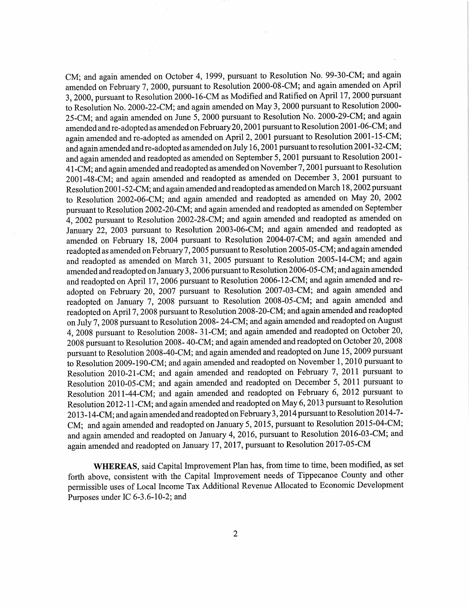CM; and again amended on October 4, 1999, pursuan<sup>t</sup> to Resolution No. 99-30-CM; and again amended on February 7, 2000, pursuan<sup>t</sup> to Resolution 2000-08-CM; and again amended on April 3, 2000, pursuant to Resolution 2000-16-CM as Modified and Ratified on April 17, 2000 pursuant to Resolution No. 2000—22-CM; and again amended on May 3, <sup>2000</sup> pursuan<sup>t</sup> to Resolution 2000- 25-CM; and again amended on June 5, <sup>2000</sup> pursuan<sup>t</sup> to Resolution No. 2000-29-CM; and again amended and re-adopted as amended on February 20, 2001 pursuant to Resolution 2001-06-CM; and again amended and re-adopted as amended on April 2, 2001 pursuant to Resolution 2001-15-CM; and again amended and re-adopted as amended on July 16, <sup>2001</sup> pursuan<sup>t</sup> to resolution 2001-32-CM; and again amended and readopted as amended on September 5, <sup>2001</sup> pursuan<sup>t</sup> to Resolution 2001- 41-CM; and again amended and readopted as amended on November 7, <sup>2001</sup> pursuan<sup>t</sup> to Resolution 2001-48-CM; and again amended and readopted as amended on December 3, <sup>2001</sup> pursuan<sup>t</sup> to Resolution 2001-52-CM; and again amended and readopted as amended on March 18, 2002 pursuant to Resolution 2002-06-CM; and again amended and readopted as amended on May 20, <sup>2002</sup> pursuan<sup>t</sup> to Resolution 2002-20-CM; and again amended and readopted as amended on September 4, <sup>2002</sup> pursuan<sup>t</sup> to Resolution 2002-28-CM; and again amended and readopted as amended on January 22, 2003 pursuant to Resolution 2003-06-CM; and again amended and readopted as amended on February 18,<sup>2004</sup> pursuan<sup>t</sup> to Resolution 2004-07-CM; and again amended and readopted as amended on February 7, <sup>2005</sup> pursuant to Resolution 2005-05-CM; and again amended and readopted as amended on March 31, <sup>2005</sup> pursuan<sup>t</sup> to Resolution 2005-14-CM; and again amended and readopted on January 3, 2006 pursuant to Resolution 2006-05-CM; and again amended and readopted on April 17, <sup>2006</sup> pursuan<sup>t</sup> to Resolution 2006-12—CM; and again amended and readopted on February 20,<sup>2007</sup> pursuan<sup>t</sup> to Resolution 2007-03-CM; and again amended and readopted on January 7, <sup>2008</sup> pursuan<sup>t</sup> to Resolution 2008-05—CM; and again amended and readopted on April 7, <sup>2008</sup> pursuan<sup>t</sup> to Resolution 2008-20—CM; and again amended and readopted on July 7, <sup>2008</sup> pursuan<sup>t</sup> to Resolution 2008- 24-CM; and again amended and readopted on August 4, <sup>2008</sup> pursuan<sup>t</sup> to Resolution 2008- <sup>3</sup> l-CM; and again amended and readopted on October 20, <sup>2008</sup> pursuan<sup>t</sup> to Resolution 2008— 40-CM; and again amended and readopted on October 20, <sup>2008</sup> ' pursuan<sup>t</sup> to Resolution 2008-40-CM; and again amended and readopted on June 15, <sup>2009</sup> pursuan<sup>t</sup> to Resolution 2009-190-CM; and again amended and readopted on November 1, 2010 pursuant to Resolution 2010-2l-CM; and again amended and readopted on February 7, <sup>2011</sup> pursuan<sup>t</sup> to Resolution 2010-05-CM; and again amended and readopted on December 5, <sup>2011</sup> pursuan<sup>t</sup> to Resolution 2011-44-CM; and again amended and readopted on February 6, <sup>2012</sup> pursuan<sup>t</sup> to Resolution 2012-l l-CM; and again amended and readopted on May 6, <sup>2013</sup> pursuan<sup>t</sup> to Resolution <sup>2013</sup> ~14-CM; and again amended and readopted on February <sup>3</sup> , <sup>2014</sup> pursuan<sup>t</sup> to Resolution 2014-7- CM; and again amended and readopted on January 5, 2015, pursuan<sup>t</sup> to Resolution <sup>2015</sup>~04-CM; and again amended and readopted on January 4, 2016, pursuan<sup>t</sup> to Resolution 2016-03-CM; and again amended and readopted on January 17, 2017, pursuan<sup>t</sup> to Resolution 2017-05-CM

WHEREAS, said Capital Improvement Plan has, from time to time, been modified, as set forth above, consistent With the Capital Improvement needs of Tippecanoe County and other permissible uses of Local Income Tax Additional Revenue Allocated to Economic Development Purposes under IC 6-3.6-10-2; and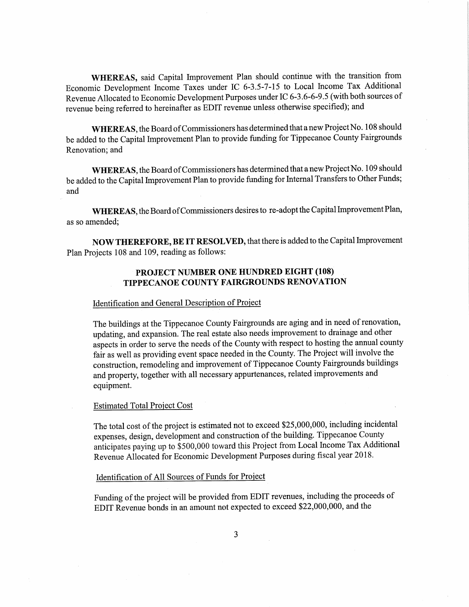WHEREAS, said Capital Improvement Plan should continue with the transition from Economic Development Income Taxes under IC 6-3.5-7—15 to Local Income Tax Additional Revenue Allocated to Economic Development Purposes under IC 6—3 .6-6-9.5 (with both sources of revenue being referred to hereinafter as EDIT revenue unless otherwise Specified); and

WHEREAS, the Board of Commissioners has determined that a new Project No. 108 should be added to the Capital Improvement Plan to provide funding for Tippecanoe County Fairgrounds Renovation; and

WHEREAS, the Board of Commissioners has determined that a new Project No. 109 should be added to the Capital Improvement Plan to provide funding for Internal Transfers to Other Funds; and

WHEREAS, the Board of Commissioners desires to re-adopt the Capital Improvement Plan, as so amended;

NOW THEREFORE, BE IT RESOLVED, that there is added to the Capital Improvement Plan Projects <sup>108</sup> and 109, reading as follows:

# PROJECT NUMBER ONE HUNDRED EIGHT (108)<br>TIPPECANOE COUNTY FAIRGROUNDS RENOVATION

#### Identification and General Description of Project

The buildings at the Tippecanoe County Fairgrounds are aging and in need ofrenovation, updating, and expansion. The real estate also needs improvement to drainage and other aspects in order to serve the needs of the County with respect to hosting the annual county fair as well as providing event space needed in the County. The Project will involve the construction, remodeling and improvement of Tippecanoe County Fairgrounds buildings and property, together with all necessary appurtenances, related improvements and equipment.

## Estimated Total Project Cost

The total cost of the project is estimated not to exceed \$25,000,000, including incidental expenses, design, development and construction of the building. Tippecanoe County anticipates paying up to \$500,000 toward this Project from Local Income Tax Additional Revenue Allocated for Economic Development Purposes during fiscal year 2018.

## Identification Of All Sources of Funds for Project

Funding of the project will be provided from EDIT revenues, including the proceeds of EDIT Revenue bonds in an amount not expected to exceed \$22,000,000, and the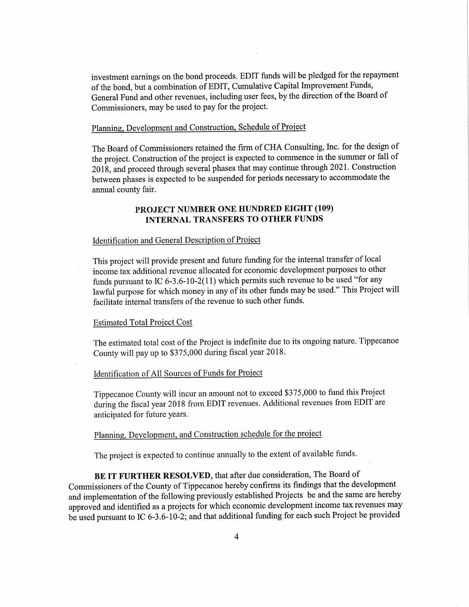investment earnings on the bond proceeds. EDIT funds will be pledged for the repayment of the bond, but <sup>a</sup> combination of EDIT, Cumulative Capital Improvement Funds, General Fund and other revenues, including user fees, by the direction of the Board of Commissioners, may be used to pay for the project.

# Flaming, Development and Construction, Schedule of Project

The Board of Commissioners retained the firm of CHA Consulting, Inc. for the design of the project. Construction of the project is expected to commence in the summer or fall of 2018, and procee<sup>d</sup> through several phases that may continue through 2021. Construction between phases is expected to be suspended for periods necessary to accommodate the annual county fair.

# PROJECT NUMBER ONE HUNDRED EIGHT (109) INTERNAL TRANSFERS TO OTHER FUNDS

## Identification and General Description of Project

This project will provide presen<sup>t</sup> and future funding for the internal transfer of local income tax additional revenue allocated for economic development purposes to other funds pursuant to IC 6-3.6-10-2(11) which permits such revenue to be used "for any lawful purpose for which money in any of its other funds may be used." This Project will facilitate internal transfers of the revenue to such other funds.

#### Estimated Total Project Cost

The estimated total cost of the Project is indefinite due to its ongoing nature. Tippecanoe County will pay up to \$375,000 during fiscal year 2018.

## Identification of All Sources of Funds for Project

Tippecanoe County will incur an amount not to exceed \$375,000 to fund this Project during the fiscal year <sup>2018</sup> from EDIT revenues. Additional revenues from EDlT are anticipated for future years.

# Planning, Development, and Construction schedule for the project

The project is expected to continue annually to the extent of available funds.

BE IT FURTHER RESOLVED, that after due consideration, The Board of Commissioners of the County of Tippecanoe hereby confirms its findings that the development and implementation of the following previously established Projects be and the same are hereby approved and identified as <sup>a</sup> projects for which economic deVelopment income tax revenues may be used pursuan<sup>t</sup> to IC 6-3.6-10—2; and that additional funding for each such Project be provided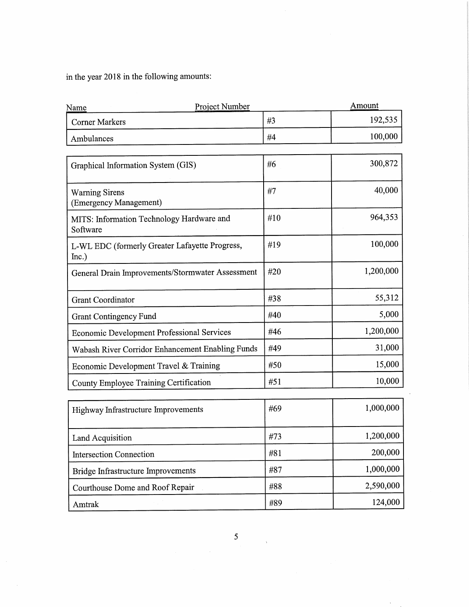in the year 2018 in the following amounts:

| #3<br><b>Corner Markers</b><br>#4<br>Ambulances<br>#6<br>Graphical Information System (GIS)<br>#7<br><b>Warning Sirens</b><br>(Emergency Management)<br>#10<br>MITS: Information Technology Hardware and<br>Software<br>#19<br>L-WL EDC (formerly Greater Lafayette Progress,<br>Inc.)<br>#20<br>General Drain Improvements/Stormwater Assessment<br>#38<br><b>Grant Coordinator</b><br>#40<br><b>Grant Contingency Fund</b><br>#46<br><b>Economic Development Professional Services</b><br>#49<br>Wabash River Corridor Enhancement Enabling Funds<br>#50<br>Economic Development Travel & Training<br>#51<br>County Employee Training Certification | 192,535<br>100,000<br>300,872<br>40,000<br>964,353 |
|-------------------------------------------------------------------------------------------------------------------------------------------------------------------------------------------------------------------------------------------------------------------------------------------------------------------------------------------------------------------------------------------------------------------------------------------------------------------------------------------------------------------------------------------------------------------------------------------------------------------------------------------------------|----------------------------------------------------|
|                                                                                                                                                                                                                                                                                                                                                                                                                                                                                                                                                                                                                                                       |                                                    |
|                                                                                                                                                                                                                                                                                                                                                                                                                                                                                                                                                                                                                                                       |                                                    |
|                                                                                                                                                                                                                                                                                                                                                                                                                                                                                                                                                                                                                                                       |                                                    |
|                                                                                                                                                                                                                                                                                                                                                                                                                                                                                                                                                                                                                                                       |                                                    |
|                                                                                                                                                                                                                                                                                                                                                                                                                                                                                                                                                                                                                                                       |                                                    |
|                                                                                                                                                                                                                                                                                                                                                                                                                                                                                                                                                                                                                                                       | 100,000                                            |
|                                                                                                                                                                                                                                                                                                                                                                                                                                                                                                                                                                                                                                                       | 1,200,000                                          |
|                                                                                                                                                                                                                                                                                                                                                                                                                                                                                                                                                                                                                                                       | 55,312                                             |
|                                                                                                                                                                                                                                                                                                                                                                                                                                                                                                                                                                                                                                                       | 5,000                                              |
|                                                                                                                                                                                                                                                                                                                                                                                                                                                                                                                                                                                                                                                       | 1,200,000                                          |
|                                                                                                                                                                                                                                                                                                                                                                                                                                                                                                                                                                                                                                                       | 31,000                                             |
|                                                                                                                                                                                                                                                                                                                                                                                                                                                                                                                                                                                                                                                       | 15,000                                             |
|                                                                                                                                                                                                                                                                                                                                                                                                                                                                                                                                                                                                                                                       | 10,000                                             |
| #69<br>Highway Infrastructure Improvements                                                                                                                                                                                                                                                                                                                                                                                                                                                                                                                                                                                                            | 1,000,000                                          |
| #73<br>Land Acquisition                                                                                                                                                                                                                                                                                                                                                                                                                                                                                                                                                                                                                               | 1,200,000                                          |
| #81<br><b>Intersection Connection</b>                                                                                                                                                                                                                                                                                                                                                                                                                                                                                                                                                                                                                 | 200,000                                            |
| #87<br>Bridge Infrastructure Improvements                                                                                                                                                                                                                                                                                                                                                                                                                                                                                                                                                                                                             | 1,000,000                                          |
| #88<br>Courthouse Dome and Roof Repair                                                                                                                                                                                                                                                                                                                                                                                                                                                                                                                                                                                                                |                                                    |
| 124,000<br>#89<br>Amtrak                                                                                                                                                                                                                                                                                                                                                                                                                                                                                                                                                                                                                              | 2,590,000                                          |

l,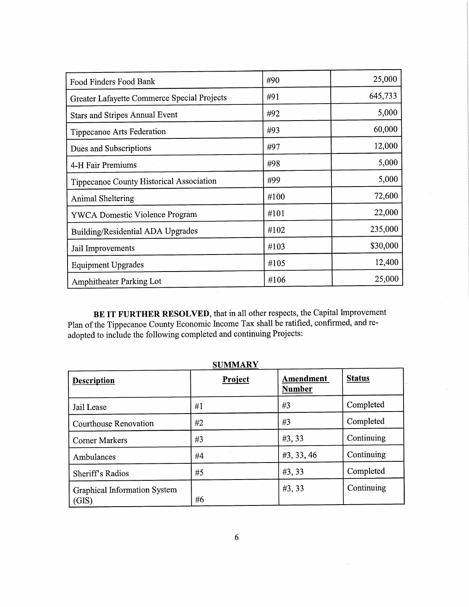| Food Finders Food Bank                      | #90  | 25,000   |
|---------------------------------------------|------|----------|
| Greater Lafayette Commerce Special Projects | #91  | 645,733  |
| <b>Stars and Stripes Annual Event</b>       | #92  | 5,000    |
| Tippecanoe Arts Federation                  | #93  | 60,000   |
| Dues and Subscriptions                      | #97  | 12,000   |
| 4-H Fair Premiums                           | #98  | 5,000    |
| Tippecanoe County Historical Association    | #99  | 5,000    |
| Animal Sheltering                           | #100 | 72,600   |
| <b>YWCA Domestic Violence Program</b>       | #101 | 22,000   |
| Building/Residential ADA Upgrades           | #102 | 235,000  |
| Jail Improvements                           | #103 | \$30,000 |
| <b>Equipment Upgrades</b>                   | #105 | 12,400   |
| Amphitheater Parking Lot                    | #106 | 25,000   |

BE IT FURTHER RESOLVED, that in all other respects, the Capital Improvement Plan of the Tippecanoe County Economic Income Tax shall be ratified, confirmed, and readopted to include the following completed and continuing Projects:

| <b>Description</b>                    | Project | Amendment<br><b>Number</b> | <b>Status</b> |
|---------------------------------------|---------|----------------------------|---------------|
| Jail Lease                            | #1      | #3                         | Completed     |
| Courthouse Renovation                 | #2      | #3                         | Completed     |
| <b>Corner Markers</b>                 | #3      | #3, 33                     | Continuing    |
| Ambulances                            | #4      | #3, 33, 46                 | Continuing    |
| Sheriff's Radios                      | #5      | #3, 33                     | Completed     |
| Graphical Information System<br>(GIS) | #6      | #3, 33                     | Continuing    |

**SUMMARY**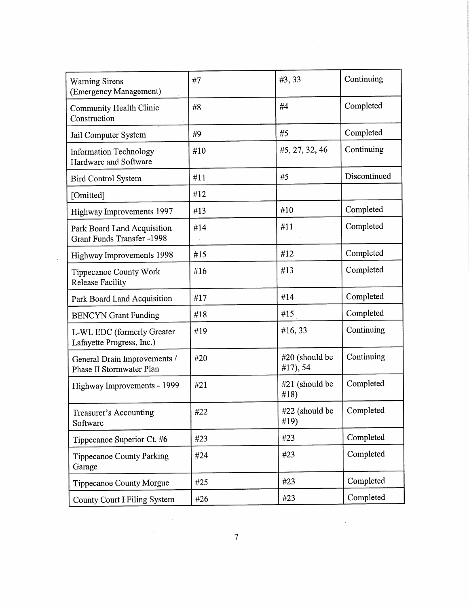| <b>Warning Sirens</b><br>(Emergency Management)                  | #7  | #3,33                      | Continuing   |
|------------------------------------------------------------------|-----|----------------------------|--------------|
| Community Health Clinic<br>Construction                          | #8  | #4                         | Completed    |
| Jail Computer System                                             | #9  | #5                         | Completed    |
| <b>Information Technology</b><br>Hardware and Software           | #10 | #5, 27, 32, 46             | Continuing   |
| <b>Bird Control System</b>                                       | #11 | #5                         | Discontinued |
| [Omitted]                                                        | #12 |                            |              |
| Highway Improvements 1997                                        | #13 | #10                        | Completed    |
| Park Board Land Acquisition<br><b>Grant Funds Transfer -1998</b> | #14 | #11                        | Completed    |
| Highway Improvements 1998                                        | #15 | #12                        | Completed    |
| <b>Tippecanoe County Work</b><br><b>Release Facility</b>         | #16 | #13                        | Completed    |
| Park Board Land Acquisition                                      | #17 | #14                        | Completed    |
| <b>BENCYN</b> Grant Funding                                      | #18 | #15                        | Completed    |
| L-WL EDC (formerly Greater<br>Lafayette Progress, Inc.)          | #19 | #16,33                     | Continuing   |
| General Drain Improvements /<br>Phase II Stormwater Plan         | #20 | #20 (should be<br>#17), 54 | Continuing   |
| Highway Improvements - 1999                                      | #21 | $#21$ (should be<br>#18)   | Completed    |
| Treasurer's Accounting<br>Software                               | #22 | #22 (should be<br>#19)     | Completed    |
| Tippecanoe Superior Ct. #6                                       | #23 | #23                        | Completed    |
| <b>Tippecanoe County Parking</b><br>Garage                       | #24 | #23                        | Completed    |
| Tippecanoe County Morgue                                         | #25 | #23                        | Completed    |
| County Court I Filing System                                     | #26 | #23                        | Completed    |

 $\bar{z}$ 

 $\hat{\mathcal{A}}$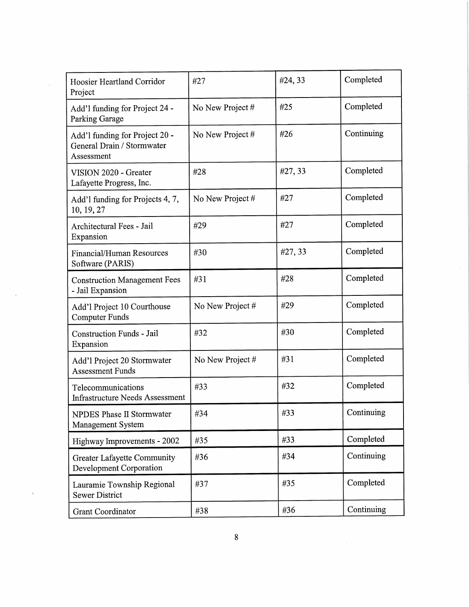| Hoosier Heartland Corridor<br>Project                                      | #27              | #24, 33 | Completed  |
|----------------------------------------------------------------------------|------------------|---------|------------|
| Add'l funding for Project 24 -<br><b>Parking Garage</b>                    | No New Project # | #25     | Completed  |
| Add'l funding for Project 20 -<br>General Drain / Stormwater<br>Assessment | No New Project # | #26     | Continuing |
| VISION 2020 - Greater<br>Lafayette Progress, Inc.                          | #28              | #27, 33 | Completed  |
| Add'l funding for Projects 4, 7,<br>10, 19, 27                             | No New Project # | #27     | Completed  |
| Architectural Fees - Jail<br>Expansion                                     | #29              | #27     | Completed  |
| Financial/Human Resources<br>Software (PARIS)                              | #30              | #27, 33 | Completed  |
| <b>Construction Management Fees</b><br>- Jail Expansion                    | #31              | #28     | Completed  |
| Add'l Project 10 Courthouse<br><b>Computer Funds</b>                       | No New Project # | #29     | Completed  |
| <b>Construction Funds - Jail</b><br>Expansion                              | #32              | #30     | Completed  |
| Add'l Project 20 Stormwater<br><b>Assessment Funds</b>                     | No New Project # | #31     | Completed  |
| Telecommunications<br><b>Infrastructure Needs Assessment</b>               | #33              | #32     | Completed  |
| NPDES Phase II Stormwater<br>Management System                             | #34              | #33     | Continuing |
| Highway Improvements - 2002                                                | #35              | #33     | Completed  |
| <b>Greater Lafayette Community</b><br><b>Development Corporation</b>       | #36              | #34     | Continuing |
| Lauramie Township Regional<br><b>Sewer District</b>                        | #37              | #35     | Completed  |
| <b>Grant Coordinator</b>                                                   | #38              | #36     | Continuing |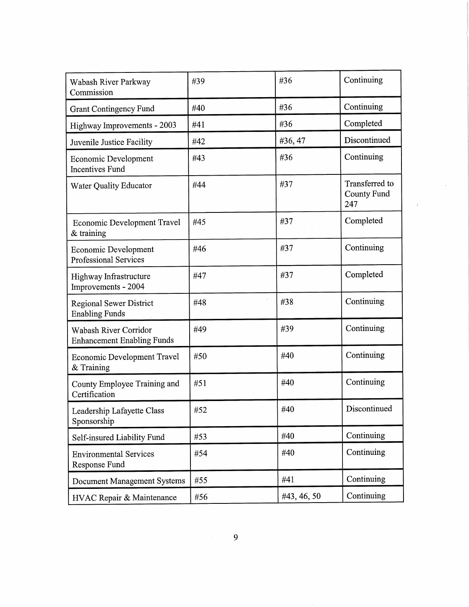| Wabash River Parkway<br>Commission                          | #39 | #36         | Continuing                           |
|-------------------------------------------------------------|-----|-------------|--------------------------------------|
| <b>Grant Contingency Fund</b>                               | #40 | #36         | Continuing                           |
| Highway Improvements - 2003                                 | #41 | #36         | Completed                            |
| Juvenile Justice Facility                                   | #42 | #36, 47     | Discontinued                         |
| <b>Economic Development</b><br><b>Incentives Fund</b>       | #43 | #36         | Continuing                           |
| <b>Water Quality Educator</b>                               | #44 | #37         | Transferred to<br>County Fund<br>247 |
| <b>Economic Development Travel</b><br>$&$ training          | #45 | #37         | Completed                            |
| <b>Economic Development</b><br><b>Professional Services</b> | #46 | #37         | Continuing                           |
| Highway Infrastructure<br>Improvements - 2004               | #47 | #37         | Completed                            |
| <b>Regional Sewer District</b><br><b>Enabling Funds</b>     | #48 | #38         | Continuing                           |
| Wabash River Corridor<br><b>Enhancement Enabling Funds</b>  | #49 | #39         | Continuing                           |
| Economic Development Travel<br>& Training                   | #50 | #40         | Continuing                           |
| County Employee Training and<br>Certification               | #51 | #40         | Continuing                           |
| Leadership Lafayette Class<br>Sponsorship                   | #52 | #40         | Discontinued                         |
| Self-insured Liability Fund                                 | #53 | #40         | Continuing                           |
| <b>Environmental Services</b><br>Response Fund              | #54 | #40         | Continuing                           |
| <b>Document Management Systems</b>                          | #55 | #41         | Continuing                           |
| HVAC Repair & Maintenance                                   | #56 | #43, 46, 50 | Continuing                           |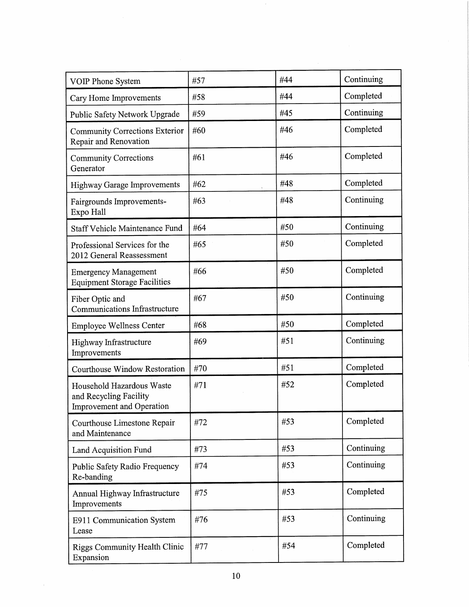| VOIP Phone System                                                                       | #57 | #44 | Continuing |
|-----------------------------------------------------------------------------------------|-----|-----|------------|
| Cary Home Improvements                                                                  | #58 | #44 | Completed  |
| Public Safety Network Upgrade                                                           | #59 | #45 | Continuing |
| <b>Community Corrections Exterior</b><br>Repair and Renovation                          | #60 | #46 | Completed  |
| <b>Community Corrections</b><br>Generator                                               | #61 | #46 | Completed  |
| <b>Highway Garage Improvements</b>                                                      | #62 | #48 | Completed  |
| Fairgrounds Improvements-<br>Expo Hall                                                  | #63 | #48 | Continuing |
| <b>Staff Vehicle Maintenance Fund</b>                                                   | #64 | #50 | Continuing |
| Professional Services for the<br>2012 General Reassessment                              | #65 | #50 | Completed  |
| <b>Emergency Management</b><br><b>Equipment Storage Facilities</b>                      | #66 | #50 | Completed  |
| Fiber Optic and<br><b>Communications Infrastructure</b>                                 | #67 | #50 | Continuing |
| <b>Employee Wellness Center</b>                                                         | #68 | #50 | Completed  |
| Highway Infrastructure<br>Improvements                                                  | #69 | #51 | Continuing |
| Courthouse Window Restoration                                                           | #70 | #51 | Completed  |
| Household Hazardous Waste<br>and Recycling Facility<br><b>Improvement</b> and Operation | #71 | #52 | Completed  |
| Courthouse Limestone Repair<br>and Maintenance                                          | #72 | #53 | Completed  |
| Land Acquisition Fund                                                                   | #73 | #53 | Continuing |
| Public Safety Radio Frequency<br>Re-banding                                             | #74 | #53 | Continuing |
| Annual Highway Infrastructure<br>Improvements                                           | #75 | #53 | Completed  |
| E911 Communication System<br>Lease                                                      | #76 | #53 | Continuing |
| <b>Riggs Community Health Clinic</b><br>Expansion                                       | #77 | #54 | Completed  |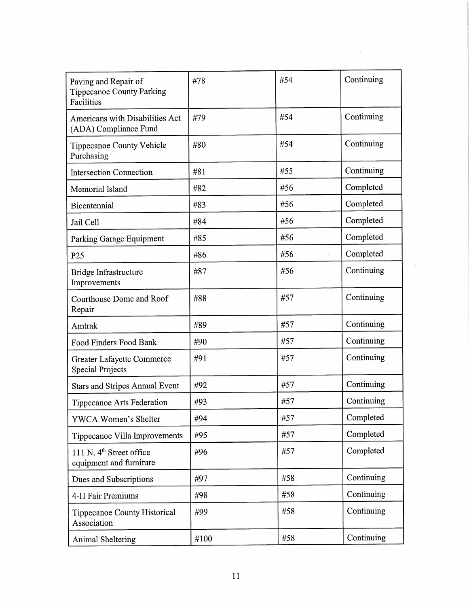| Paving and Repair of<br><b>Tippecanoe County Parking</b><br>Facilities | #78  | #54 | Continuing |
|------------------------------------------------------------------------|------|-----|------------|
| Americans with Disabilities Act<br>(ADA) Compliance Fund               | #79  | #54 | Continuing |
| Tippecanoe County Vehicle<br>Purchasing                                | #80  | #54 | Continuing |
| <b>Intersection Connection</b>                                         | #81  | #55 | Continuing |
| Memorial Island                                                        | #82  | #56 | Completed  |
| Bicentennial                                                           | #83  | #56 | Completed  |
| Jail Cell                                                              | #84  | #56 | Completed  |
| Parking Garage Equipment                                               | #85  | #56 | Completed  |
| P <sub>25</sub>                                                        | #86  | #56 | Completed  |
| Bridge Infrastructure<br>Improvements                                  | #87  | #56 | Continuing |
| Courthouse Dome and Roof<br>Repair                                     | #88  | #57 | Continuing |
| Amtrak                                                                 | #89  | #57 | Continuing |
| Food Finders Food Bank                                                 | #90  | #57 | Continuing |
| Greater Lafayette Commerce<br><b>Special Projects</b>                  | #91  | #57 | Continuing |
| <b>Stars and Stripes Annual Event</b>                                  | #92  | #57 | Continuing |
| Tippecanoe Arts Federation                                             | #93  | #57 | Continuing |
| YWCA Women's Shelter                                                   | #94  | #57 | Completed  |
| Tippecanoe Villa Improvements                                          | #95  | #57 | Completed  |
| 111 N. 4 <sup>th</sup> Street office<br>equipment and furniture        | #96  | #57 | Completed  |
| Dues and Subscriptions                                                 | #97  | #58 | Continuing |
| 4-H Fair Premiums                                                      | #98  | #58 | Continuing |
| Tippecanoe County Historical<br>Association                            | #99  | #58 | Continuing |
| Animal Sheltering                                                      | #100 | #58 | Continuing |

 $\hat{\mathcal{A}}$